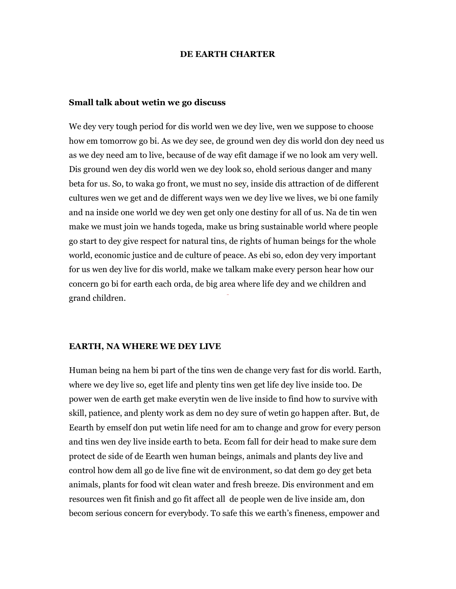#### DE EARTH CHARTER

#### Small talk about wetin we go discuss

DE EARTIN CHARTIER<br>
Small talk about werin we go dissense<br>
We dey very tough preial fireds -world over toedey five, one one suppose to those<br>
how on troncores go bit,  $\Delta$  we for sale y disp compared with the price world We dey very tough period for dis world wen we dey live, wen we suppose to choose how em tomorrow go bi. As we dey see, de ground wen dey dis world don dey need us as we dey need am to live, because of de way efit damage if we no look am very well. Dis ground wen dey dis world wen we dey look so, ehold serious danger and many beta for us. So, to waka go front, we must no sey, inside dis attraction of de different cultures wen we get and de different ways wen we dey live we lives, we bi one family and na inside one world we dey wen get only one destiny for all of us. Na de tin wen make we must join we hands togeda, make us bring sustainable world where people go start to dey give respect for natural tins, de rights of human beings for the whole world, economic justice and de culture of peace. As ebi so, edon dey very important for us wen dey live for dis world, make we talkam make every person hear how our concern go bi for earth each orda, de big area where life dey and we children and grand children.

#### EARTH, NA WHERE WE DEY LIVE

Human being na hem bi part of the tins wen de change very fast for dis world. Earth, where we dey live so, eget life and plenty tins wen get life dey live inside too. De power wen de earth get make everytin wen de live inside to find how to survive with skill, patience, and plenty work as dem no dey sure of wetin go happen after. But, de Eearth by emself don put wetin life need for am to change and grow for every person and tins wen dey live inside earth to beta. Ecom fall for deir head to make sure dem protect de side of de Eearth wen human beings, animals and plants dey live and control how dem all go de live fine wit de environment, so dat dem go dey get beta animals, plants for food wit clean water and fresh breeze. Dis environment and em resources wen fit finish and go fit affect all de people wen de live inside am, don becom serious concern for everybody. To safe this we earth's fineness, empower and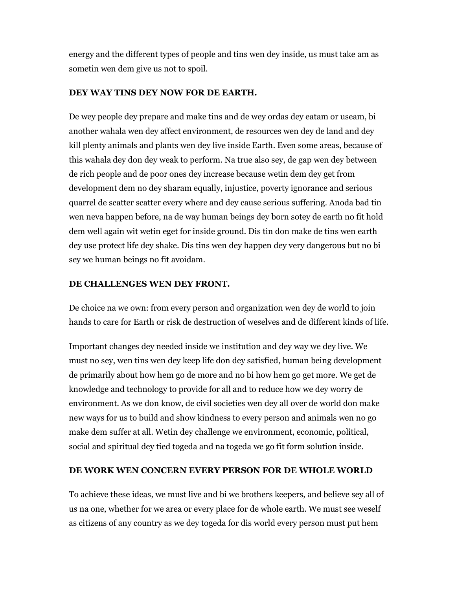energy and the different types of people and tins wen dey inside, us must take am as sometin wen dem give us not to spoil.

### DEY WAY TINS DEY NOW FOR DE EARTH.

De wey people dey prepare and make tins and de wey ordas dey eatam or useam, bi another wahala wen dey affect environment, de resources wen dey de land and dey kill plenty animals and plants wen dey live inside Earth. Even some areas, because of this wahala dey don dey weak to perform. Na true also sey, de gap wen dey between de rich people and de poor ones dey increase because wetin dem dey get from development dem no dey sharam equally, injustice, poverty ignorance and serious quarrel de scatter scatter every where and dey cause serious suffering. Anoda bad tin wen neva happen before, na de way human beings dey born sotey de earth no fit hold dem well again wit wetin eget for inside ground. Dis tin don make de tins wen earth dey use protect life dey shake. Dis tins wen dey happen dey very dangerous but no bi sey we human beings no fit avoidam.

### DE CHALLENGES WEN DEY FRONT.

De choice na we own: from every person and organization wen dey de world to join hands to care for Earth or risk de destruction of weselves and de different kinds of life.

Important changes dey needed inside we institution and dey way we dey live. We must no sey, wen tins wen dey keep life don dey satisfied, human being development de primarily about how hem go de more and no bi how hem go get more. We get de knowledge and technology to provide for all and to reduce how we dey worry de environment. As we don know, de civil societies wen dey all over de world don make new ways for us to build and show kindness to every person and animals wen no go make dem suffer at all. Wetin dey challenge we environment, economic, political, social and spiritual dey tied togeda and na togeda we go fit form solution inside.

#### DE WORK WEN CONCERN EVERY PERSON FOR DE WHOLE WORLD

To achieve these ideas, we must live and bi we brothers keepers, and believe sey all of us na one, whether for we area or every place for de whole earth. We must see weself as citizens of any country as we dey togeda for dis world every person must put hem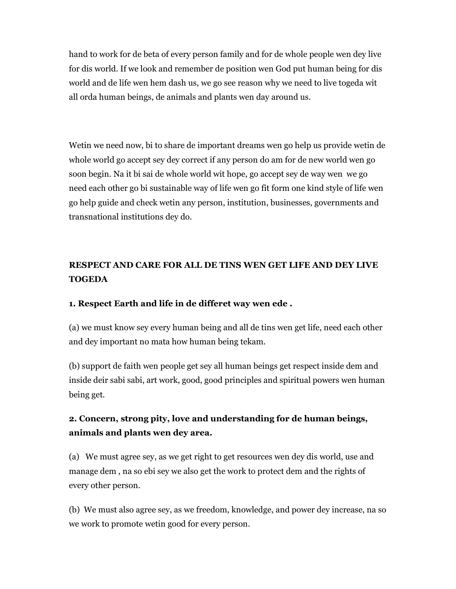hand to work for de beta of every person family and for de whole people wen dey live for dis world. If we look and remember de position wen God put human being for dis world and de life wen hem dash us, we go see reason why we need to live togeda wit all orda human beings, de animals and plants wen day around us.

Wetin we need now, bi to share de important dreams wen go help us provide wetin de whole world go accept sey dey correct if any person do am for de new world wen go soon begin. Na it bi sai de whole world wit hope, go accept sey de way wen we go need each other go bi sustainable way of life wen go fit form one kind style of life wen go help guide and check wetin any person, institution, businesses, governments and transnational institutions dey do.

## RESPECT AND CARE FOR ALL DE TINS WEN GET LIFE AND DEY LIVE TOGEDA

### 1. Respect Earth and life in de differet way wen ede .

(a) we must know sey every human being and all de tins wen get life, need each other and dey important no mata how human being tekam.

(b) support de faith wen people get sey all human beings get respect inside dem and inside deir sabi sabi, art work, good, good principles and spiritual powers wen human being get.

### 2. Concern, strong pity, love and understanding for de human beings, animals and plants wen dey area.

(a) We must agree sey, as we get right to get resources wen dey dis world, use and manage dem , na so ebi sey we also get the work to protect dem and the rights of every other person.

(b) We must also agree sey, as we freedom, knowledge, and power dey increase, na so we work to promote wetin good for every person.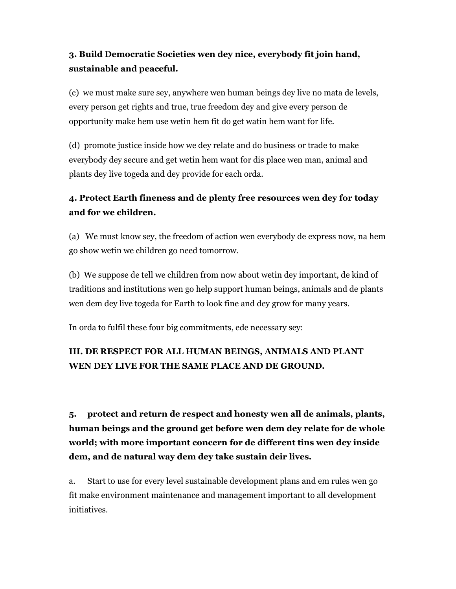## 3. Build Democratic Societies wen dey nice, everybody fit join hand, sustainable and peaceful.

(c) we must make sure sey, anywhere wen human beings dey live no mata de levels, every person get rights and true, true freedom dey and give every person de opportunity make hem use wetin hem fit do get watin hem want for life.

(d) promote justice inside how we dey relate and do business or trade to make everybody dey secure and get wetin hem want for dis place wen man, animal and plants dey live togeda and dey provide for each orda.

## 4. Protect Earth fineness and de plenty free resources wen dey for today and for we children.

(a) We must know sey, the freedom of action wen everybody de express now, na hem go show wetin we children go need tomorrow.

(b) We suppose de tell we children from now about wetin dey important, de kind of traditions and institutions wen go help support human beings, animals and de plants wen dem dey live togeda for Earth to look fine and dey grow for many years.

In orda to fulfil these four big commitments, ede necessary sey:

## III. DE RESPECT FOR ALL HUMAN BEINGS, ANIMALS AND PLANT WEN DEY LIVE FOR THE SAME PLACE AND DE GROUND.

5. protect and return de respect and honesty wen all de animals, plants, human beings and the ground get before wen dem dey relate for de whole world; with more important concern for de different tins wen dey inside dem, and de natural way dem dey take sustain deir lives.

a. Start to use for every level sustainable development plans and em rules wen go fit make environment maintenance and management important to all development initiatives.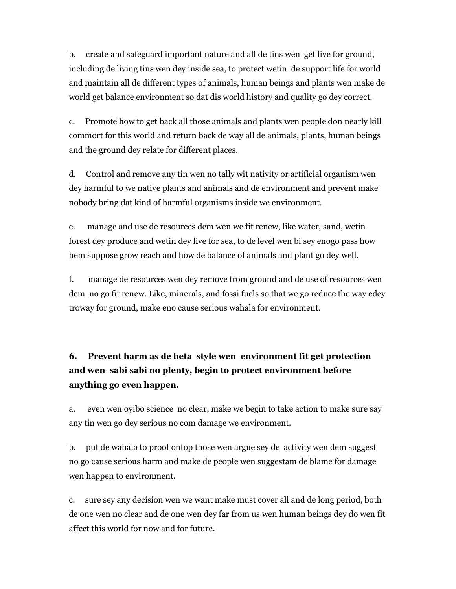b. create and safeguard important nature and all de tins wen get live for ground, including de living tins wen dey inside sea, to protect wetin de support life for world and maintain all de different types of animals, human beings and plants wen make de world get balance environment so dat dis world history and quality go dey correct.

c. Promote how to get back all those animals and plants wen people don nearly kill commort for this world and return back de way all de animals, plants, human beings and the ground dey relate for different places.

d. Control and remove any tin wen no tally wit nativity or artificial organism wen dey harmful to we native plants and animals and de environment and prevent make nobody bring dat kind of harmful organisms inside we environment.

e. manage and use de resources dem wen we fit renew, like water, sand, wetin forest dey produce and wetin dey live for sea, to de level wen bi sey enogo pass how hem suppose grow reach and how de balance of animals and plant go dey well.

f. manage de resources wen dey remove from ground and de use of resources wen dem no go fit renew. Like, minerals, and fossi fuels so that we go reduce the way edey troway for ground, make eno cause serious wahala for environment.

# 6. Prevent harm as de beta style wen environment fit get protection and wen sabi sabi no plenty, begin to protect environment before anything go even happen.

a. even wen oyibo science no clear, make we begin to take action to make sure say any tin wen go dey serious no com damage we environment.

b. put de wahala to proof ontop those wen argue sey de activity wen dem suggest no go cause serious harm and make de people wen suggestam de blame for damage wen happen to environment.

c. sure sey any decision wen we want make must cover all and de long period, both de one wen no clear and de one wen dey far from us wen human beings dey do wen fit affect this world for now and for future.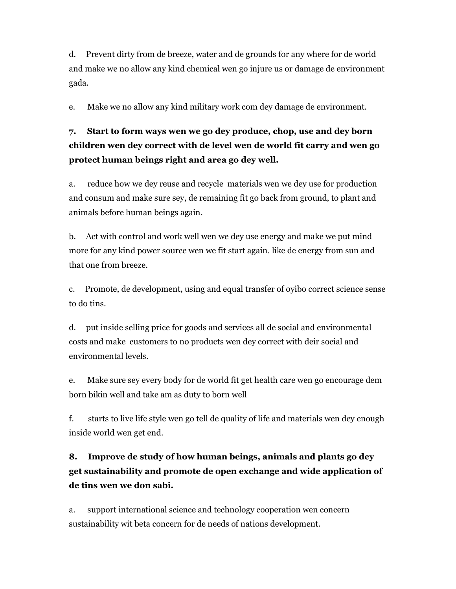d. Prevent dirty from de breeze, water and de grounds for any where for de world and make we no allow any kind chemical wen go injure us or damage de environment gada.

e. Make we no allow any kind military work com dey damage de environment.

# 7. Start to form ways wen we go dey produce, chop, use and dey born children wen dey correct with de level wen de world fit carry and wen go protect human beings right and area go dey well.

a. reduce how we dey reuse and recycle materials wen we dey use for production and consum and make sure sey, de remaining fit go back from ground, to plant and animals before human beings again.

b. Act with control and work well wen we dey use energy and make we put mind more for any kind power source wen we fit start again. like de energy from sun and that one from breeze.

c. Promote, de development, using and equal transfer of oyibo correct science sense to do tins.

d. put inside selling price for goods and services all de social and environmental costs and make customers to no products wen dey correct with deir social and environmental levels.

e. Make sure sey every body for de world fit get health care wen go encourage dem born bikin well and take am as duty to born well

f. starts to live life style wen go tell de quality of life and materials wen dey enough inside world wen get end.

# 8. Improve de study of how human beings, animals and plants go dey get sustainability and promote de open exchange and wide application of de tins wen we don sabi.

a. support international science and technology cooperation wen concern sustainability wit beta concern for de needs of nations development.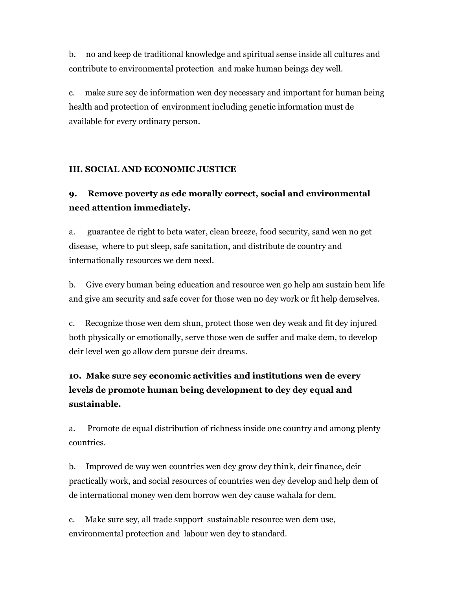b. no and keep de traditional knowledge and spiritual sense inside all cultures and contribute to environmental protection and make human beings dey well.

c. make sure sey de information wen dey necessary and important for human being health and protection of environment including genetic information must de available for every ordinary person.

### III. SOCIAL AND ECONOMIC JUSTICE

## 9. Remove poverty as ede morally correct, social and environmental need attention immediately.

a. guarantee de right to beta water, clean breeze, food security, sand wen no get disease, where to put sleep, safe sanitation, and distribute de country and internationally resources we dem need.

b. Give every human being education and resource wen go help am sustain hem life and give am security and safe cover for those wen no dey work or fit help demselves.

c. Recognize those wen dem shun, protect those wen dey weak and fit dey injured both physically or emotionally, serve those wen de suffer and make dem, to develop deir level wen go allow dem pursue deir dreams.

# 10. Make sure sey economic activities and institutions wen de every levels de promote human being development to dey dey equal and sustainable.

a. Promote de equal distribution of richness inside one country and among plenty countries.

b. Improved de way wen countries wen dey grow dey think, deir finance, deir practically work, and social resources of countries wen dey develop and help dem of de international money wen dem borrow wen dey cause wahala for dem.

c. Make sure sey, all trade support sustainable resource wen dem use, environmental protection and labour wen dey to standard.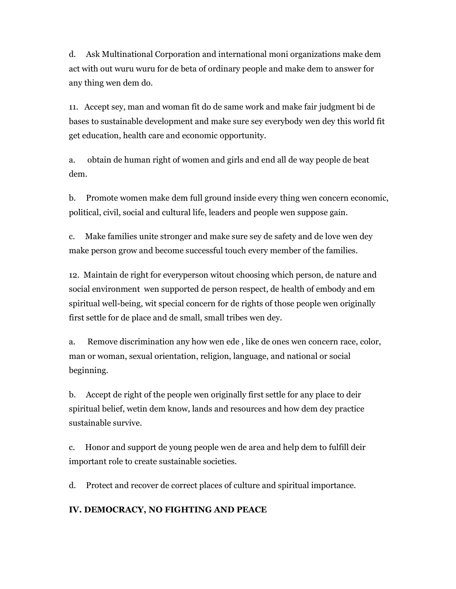d. Ask Multinational Corporation and international moni organizations make dem act with out wuru wuru for de beta of ordinary people and make dem to answer for any thing wen dem do.

11. Accept sey, man and woman fit do de same work and make fair judgment bi de bases to sustainable development and make sure sey everybody wen dey this world fit get education, health care and economic opportunity.

a. obtain de human right of women and girls and end all de way people de beat dem.

b. Promote women make dem full ground inside every thing wen concern economic, political, civil, social and cultural life, leaders and people wen suppose gain.

c. Make families unite stronger and make sure sey de safety and de love wen dey make person grow and become successful touch every member of the families.

12. Maintain de right for everyperson witout choosing which person, de nature and social environment wen supported de person respect, de health of embody and em spiritual well-being, wit special concern for de rights of those people wen originally first settle for de place and de small, small tribes wen dey.

a. Remove discrimination any how wen ede , like de ones wen concern race, color, man or woman, sexual orientation, religion, language, and national or social beginning.

b. Accept de right of the people wen originally first settle for any place to deir spiritual belief, wetin dem know, lands and resources and how dem dey practice sustainable survive.

c. Honor and support de young people wen de area and help dem to fulfill deir important role to create sustainable societies.

d. Protect and recover de correct places of culture and spiritual importance.

### IV. DEMOCRACY, NO FIGHTING AND PEACE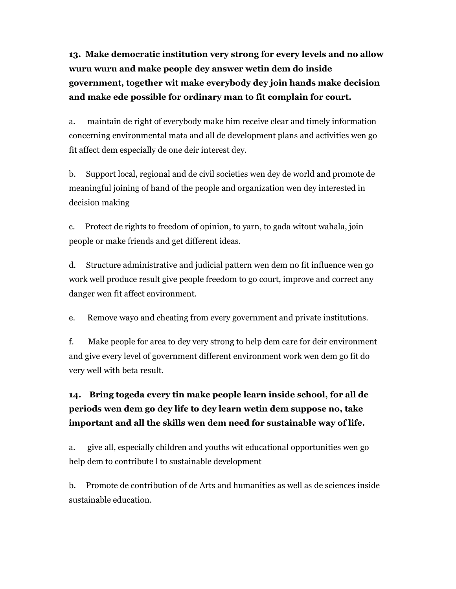13. Make democratic institution very strong for every levels and no allow wuru wuru and make people dey answer wetin dem do inside government, together wit make everybody dey join hands make decision and make ede possible for ordinary man to fit complain for court.

a. maintain de right of everybody make him receive clear and timely information concerning environmental mata and all de development plans and activities wen go fit affect dem especially de one deir interest dey.

b. Support local, regional and de civil societies wen dey de world and promote de meaningful joining of hand of the people and organization wen dey interested in decision making

c. Protect de rights to freedom of opinion, to yarn, to gada witout wahala, join people or make friends and get different ideas.

d. Structure administrative and judicial pattern wen dem no fit influence wen go work well produce result give people freedom to go court, improve and correct any danger wen fit affect environment.

e. Remove wayo and cheating from every government and private institutions.

f. Make people for area to dey very strong to help dem care for deir environment and give every level of government different environment work wen dem go fit do very well with beta result.

# 14. Bring togeda every tin make people learn inside school, for all de periods wen dem go dey life to dey learn wetin dem suppose no, take important and all the skills wen dem need for sustainable way of life.

a. give all, especially children and youths wit educational opportunities wen go help dem to contribute l to sustainable development

b. Promote de contribution of de Arts and humanities as well as de sciences inside sustainable education.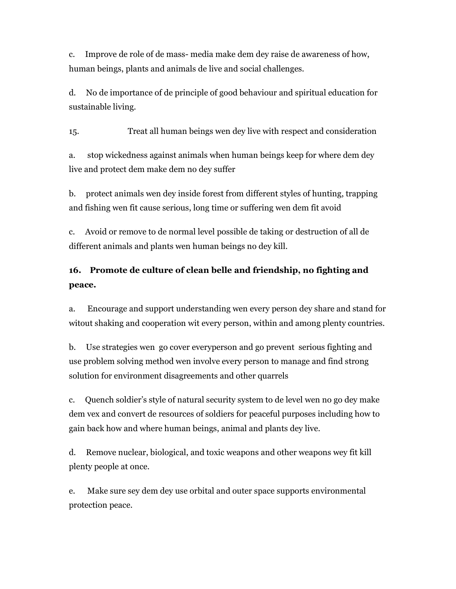c. Improve de role of de mass- media make dem dey raise de awareness of how, human beings, plants and animals de live and social challenges.

d. No de importance of de principle of good behaviour and spiritual education for sustainable living.

15. Treat all human beings wen dey live with respect and consideration

a. stop wickedness against animals when human beings keep for where dem dey live and protect dem make dem no dey suffer

b. protect animals wen dey inside forest from different styles of hunting, trapping and fishing wen fit cause serious, long time or suffering wen dem fit avoid

c. Avoid or remove to de normal level possible de taking or destruction of all de different animals and plants wen human beings no dey kill.

## 16. Promote de culture of clean belle and friendship, no fighting and peace.

a. Encourage and support understanding wen every person dey share and stand for witout shaking and cooperation wit every person, within and among plenty countries.

b. Use strategies wen go cover everyperson and go prevent serious fighting and use problem solving method wen involve every person to manage and find strong solution for environment disagreements and other quarrels

c. Quench soldier's style of natural security system to de level wen no go dey make dem vex and convert de resources of soldiers for peaceful purposes including how to gain back how and where human beings, animal and plants dey live.

d. Remove nuclear, biological, and toxic weapons and other weapons wey fit kill plenty people at once.

e. Make sure sey dem dey use orbital and outer space supports environmental protection peace.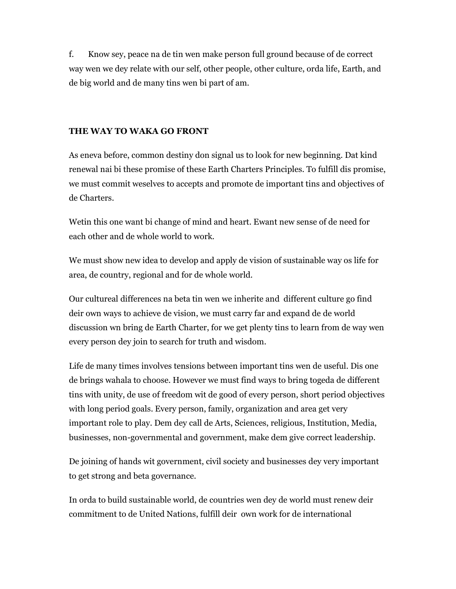f. Know sey, peace na de tin wen make person full ground because of de correct way wen we dey relate with our self, other people, other culture, orda life, Earth, and de big world and de many tins wen bi part of am.

### THE WAY TO WAKA GO FRONT

As eneva before, common destiny don signal us to look for new beginning. Dat kind renewal nai bi these promise of these Earth Charters Principles. To fulfill dis promise, we must commit weselves to accepts and promote de important tins and objectives of de Charters.

Wetin this one want bi change of mind and heart. Ewant new sense of de need for each other and de whole world to work.

We must show new idea to develop and apply de vision of sustainable way os life for area, de country, regional and for de whole world.

Our cultureal differences na beta tin wen we inherite and different culture go find deir own ways to achieve de vision, we must carry far and expand de de world discussion wn bring de Earth Charter, for we get plenty tins to learn from de way wen every person dey join to search for truth and wisdom.

Life de many times involves tensions between important tins wen de useful. Dis one de brings wahala to choose. However we must find ways to bring togeda de different tins with unity, de use of freedom wit de good of every person, short period objectives with long period goals. Every person, family, organization and area get very important role to play. Dem dey call de Arts, Sciences, religious, Institution, Media, businesses, non-governmental and government, make dem give correct leadership.

De joining of hands wit government, civil society and businesses dey very important to get strong and beta governance.

In orda to build sustainable world, de countries wen dey de world must renew deir commitment to de United Nations, fulfill deir own work for de international